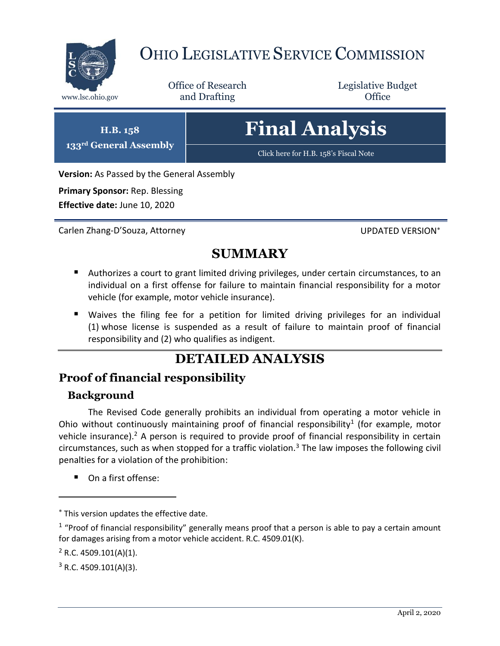

# OHIO LEGISLATIVE SERVICE COMMISSION

Office of Research www.lsc.ohio.gov **and Drafting Office** 

Legislative Budget

# **Final Analysis**

[Click here for H.B. 158](https://www.legislature.ohio.gov/legislation/legislation-documents?id=GA133-HB-158)'s Fiscal Note

**Version:** As Passed by the General Assembly

**Primary Sponsor:** Rep. Blessing

**H.B. 158 133rd General Assembly**

**Effective date:** June 10, 2020

Carlen Zhang-D'Souza, Attorney UPDATED VERSION

# **SUMMARY**

- Authorizes a court to grant limited driving privileges, under certain circumstances, to an individual on a first offense for failure to maintain financial responsibility for a motor vehicle (for example, motor vehicle insurance).
- Waives the filing fee for a petition for limited driving privileges for an individual (1) whose license is suspended as a result of failure to maintain proof of financial responsibility and (2) who qualifies as indigent.

## **DETAILED ANALYSIS**

### **Proof of financial responsibility**

#### **Background**

The Revised Code generally prohibits an individual from operating a motor vehicle in Ohio without continuously maintaining proof of financial responsibility<sup>1</sup> (for example, motor vehicle insurance).<sup>2</sup> A person is required to provide proof of financial responsibility in certain circumstances, such as when stopped for a traffic violation.<sup>3</sup> The law imposes the following civil penalties for a violation of the prohibition:

■ On a first offense:

 $\overline{a}$ 

This version updates the effective date.

 $1$  "Proof of financial responsibility" generally means proof that a person is able to pay a certain amount for damages arising from a motor vehicle accident. R.C. 4509.01(K).

 $2$  R.C. 4509.101(A)(1).

 $3$  R.C. 4509.101(A)(3).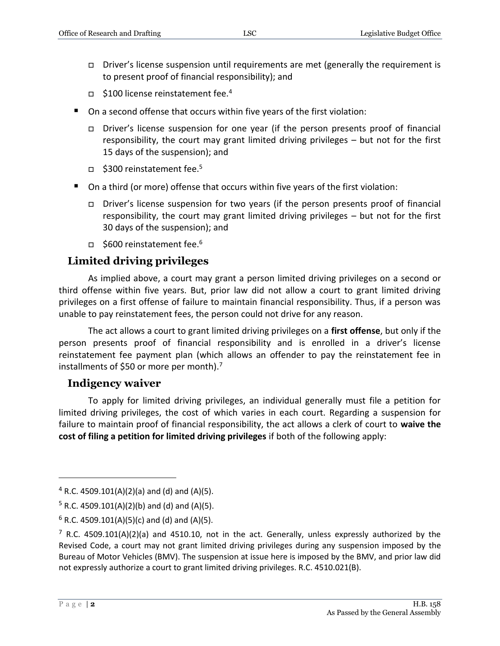- $\Box$  Driver's license suspension until requirements are met (generally the requirement is to present proof of financial responsibility); and
- $\Box$  \$100 license reinstatement fee.<sup>4</sup>
- On a second offense that occurs within five years of the first violation:
	- Driver's license suspension for one year (if the person presents proof of financial responsibility, the court may grant limited driving privileges – but not for the first 15 days of the suspension); and
	- $\Box$  \$300 reinstatement fee.<sup>5</sup>
- On a third (or more) offense that occurs within five years of the first violation:
	- Driver's license suspension for two years (if the person presents proof of financial responsibility, the court may grant limited driving privileges – but not for the first 30 days of the suspension); and
	- $\Box$  \$600 reinstatement fee.<sup>6</sup>

#### **Limited driving privileges**

As implied above, a court may grant a person limited driving privileges on a second or third offense within five years. But, prior law did not allow a court to grant limited driving privileges on a first offense of failure to maintain financial responsibility. Thus, if a person was unable to pay reinstatement fees, the person could not drive for any reason.

The act allows a court to grant limited driving privileges on a **first offense**, but only if the person presents proof of financial responsibility and is enrolled in a driver's license reinstatement fee payment plan (which allows an offender to pay the reinstatement fee in installments of \$50 or more per month).<sup>7</sup>

#### **Indigency waiver**

To apply for limited driving privileges, an individual generally must file a petition for limited driving privileges, the cost of which varies in each court. Regarding a suspension for failure to maintain proof of financial responsibility, the act allows a clerk of court to **waive the cost of filing a petition for limited driving privileges** if both of the following apply:

 $\overline{a}$ 

 $4$  R.C. 4509.101(A)(2)(a) and (d) and (A)(5).

 $5$  R.C. 4509.101(A)(2)(b) and (d) and (A)(5).

 $6$  R.C. 4509.101(A)(5)(c) and (d) and (A)(5).

<sup>&</sup>lt;sup>7</sup> R.C. 4509.101(A)(2)(a) and 4510.10, not in the act. Generally, unless expressly authorized by the Revised Code, a court may not grant limited driving privileges during any suspension imposed by the Bureau of Motor Vehicles (BMV). The suspension at issue here is imposed by the BMV, and prior law did not expressly authorize a court to grant limited driving privileges. R.C. 4510.021(B).